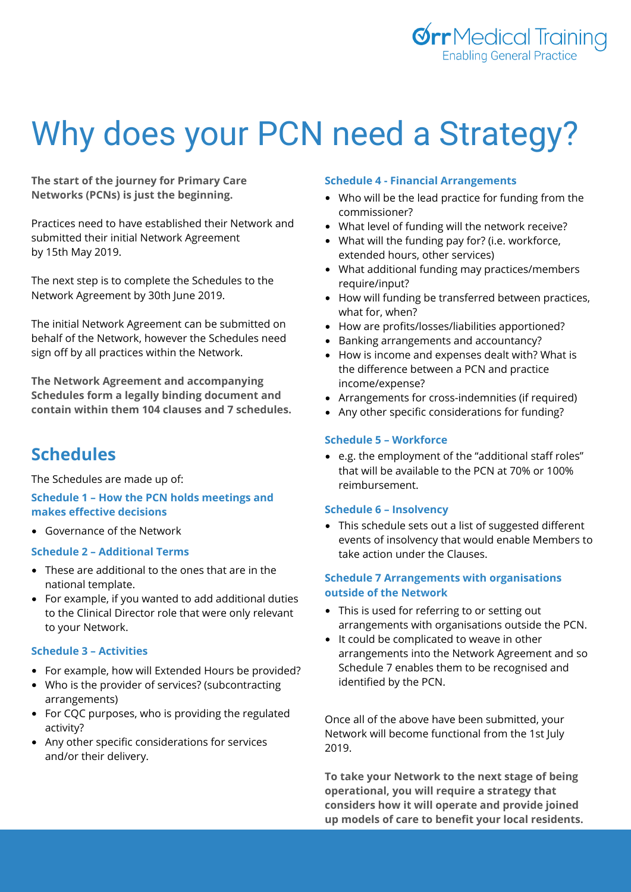

# Why does your PCN need a Strategy?

**The start of the journey for Primary Care Networks (PCNs) is just the beginning.**

Practices need to have established their Network and submitted their initial Network Agreement by 15th May 2019.

The next step is to complete the Schedules to the Network Agreement by 30th June 2019.

The initial Network Agreement can be submitted on behalf of the Network, however the Schedules need sign off by all practices within the Network.

**The Network Agreement and accompanying Schedules form a legally binding document and contain within them 104 clauses and 7 schedules.**

# **Schedules**

The Schedules are made up of:

# **Schedule 1 – How the PCN holds meetings and makes effective decisions**

Governance of the Network

# **Schedule 2 – Additional Terms**

- These are additional to the ones that are in the national template.
- For example, if you wanted to add additional duties to the Clinical Director role that were only relevant to your Network.

#### **Schedule 3 – Activities**

- For example, how will Extended Hours be provided?
- Who is the provider of services? (subcontracting arrangements)
- For CQC purposes, who is providing the regulated activity?
- Any other specific considerations for services and/or their delivery.

#### **Schedule 4 - Financial Arrangements**

- Who will be the lead practice for funding from the commissioner?
- What level of funding will the network receive?
- What will the funding pay for? (i.e. workforce, extended hours, other services)
- What additional funding may practices/members require/input?
- How will funding be transferred between practices, what for, when?
- How are profits/losses/liabilities apportioned?
- Banking arrangements and accountancy?
- How is income and expenses dealt with? What is the difference between a PCN and practice income/expense?
- Arrangements for cross-indemnities (if required)
- Any other specific considerations for funding?

### **Schedule 5 – Workforce**

e.g. the employment of the "additional staff roles" that will be available to the PCN at 70% or 100% reimbursement.

#### **Schedule 6 – Insolvency**

This schedule sets out a list of suggested different events of insolvency that would enable Members to take action under the Clauses.

## **Schedule 7 Arrangements with organisations outside of the Network**

- This is used for referring to or setting out arrangements with organisations outside the PCN.
- It could be complicated to weave in other arrangements into the Network Agreement and so Schedule 7 enables them to be recognised and identified by the PCN.

Once all of the above have been submitted, your Network will become functional from the 1st July 2019.

**To take your Network to the next stage of being operational, you will require a strategy that considers how it will operate and provide joined up models of care to benefit your local residents.**